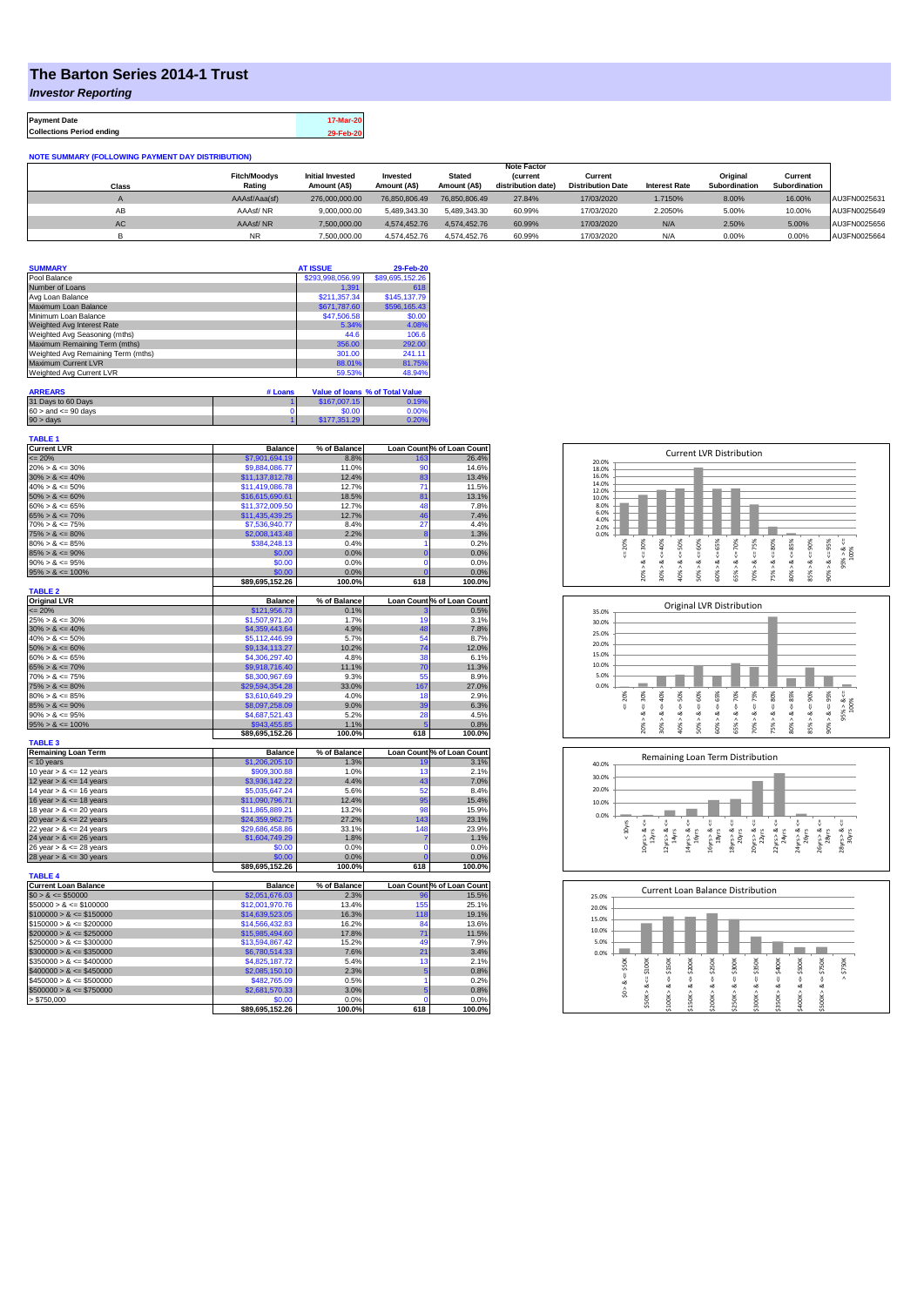## **The Barton Series 2014-1 Trust**

*Investor Reporting*

**Payment Date 17-Mar-20 Collections Period ending 29-Feb-20**

**NOTE SUMMARY (FOLLOWING PAYMENT DAY DISTRIBUTION)**

|              |                     |                         |               |               | <b>Note Factor</b> |                          |                      |               |               |              |
|--------------|---------------------|-------------------------|---------------|---------------|--------------------|--------------------------|----------------------|---------------|---------------|--------------|
|              | <b>Fitch/Moodvs</b> | <b>Initial Invested</b> | Invested      | <b>Stated</b> | <b>(current</b>    | Current                  |                      | Original      | Current       |              |
| <b>Class</b> | Rating              | Amount (A\$)            | Amount (A\$)  | Amount (A\$)  | distribution date) | <b>Distribution Date</b> | <b>Interest Rate</b> | Subordination | Subordination |              |
|              | AAAsf/Aaa(sf)       | 276,000,000,00          | 76.850.806.49 | 76.850.806.49 | 27.84%             | 17/03/2020               | 1.7150%              | 8.00%         | 16.00%        | AU3FN0025631 |
| AB           | AAAsf/NR            | 9,000,000.00            | 5.489.343.30  | 5.489.343.30  | 60.99%             | 17/03/2020               | 2.2050%              | 5.00%         | 10.00%        | AU3FN0025649 |
| AC           | AAAsf/NR            | 7,500,000.00            | 4.574.452.76  | 4.574.452.76  | 60.99%             | 17/03/2020               | N/A                  | 2.50%         | 5.00%         | AU3FN0025656 |
|              | <b>NR</b>           | 7.500.000.00            | 4.574.452.76  | 4.574.452.76  | 60.99%             | 17/03/2020               | N/A                  | 0.00%         | 0.00%         | AU3FN0025664 |

| <b>SUMMARY</b>                     | <b>AT ISSUE</b>  | 29-Feb-20       |
|------------------------------------|------------------|-----------------|
| Pool Balance                       | \$293,998,056.99 | \$89,695,152.26 |
| Number of Loans                    | 1.391            | 618             |
| Avg Loan Balance                   | \$211,357.34     | \$145,137.79    |
| Maximum Loan Balance               | \$671,787.60     | \$596,165.43    |
| Minimum Loan Balance               | \$47,506.58      | \$0.00          |
| Weighted Avg Interest Rate         | 5.34%            | 4.08%           |
| Weighted Avg Seasoning (mths)      | 44.6             | 106.6           |
| Maximum Remaining Term (mths)      | 356.00           | 292.00          |
| Weighted Avg Remaining Term (mths) | 301.00           | 241.11          |
| Maximum Current LVR                | 88.01%           | 81.75%          |
| Weighted Avg Current LVR           | 59.53%           | 48.94%          |

| <b>ARREARS</b>            | # Loans |              | Value of Ioans % of Total Value |
|---------------------------|---------|--------------|---------------------------------|
| 31 Days to 60 Days        |         | \$167,007.15 | 0.19%                           |
| $60 >$ and $\leq 90$ days |         | \$0.00       | 0.00%                           |
| 90 > davs                 |         | \$177,351.29 | 0.20%                           |

| TABLE 1<br><b>Current LVR</b>              | <b>Balance</b>                    | % of Balance  |                | Loan Count % of Loan Count |
|--------------------------------------------|-----------------------------------|---------------|----------------|----------------------------|
| $= 20%$                                    | \$7,901,694.19                    | 8.8%          | 163            | 26.4%                      |
| $20\% > 8 \le 30\%$                        | \$9,884,086.77                    | 11.0%         | 90             | 14.6%                      |
| $30\% > 8 \le 40\%$                        | \$11,137,812.78                   | 12.4%         | 83             | 13.4%                      |
| $40\% > 8 \le 50\%$                        | \$11,419,086.78                   | 12.7%         | 71             | 11.5%                      |
| $50\% > 8 \le 60\%$                        | \$16,615,690.61                   | 18.5%         | 81             | 13.1%                      |
| $60\% > 8 \le 65\%$                        | \$11,372,009.50                   | 12.7%         | 48             | 7.8%                       |
| $65\% > 8 \le 70\%$                        | \$11,435,439.25                   | 12.7%         | 46             | 7.4%                       |
| $70\% > 8 \le 75\%$                        | \$7,536,940.77                    | 8.4%          | 27             | 4.4%                       |
| $75\% > 8 \le 80\%$                        | \$2,008,143.48                    | 2.2%          | 8              | 1.3%                       |
| $80\% > 8 \le 85\%$                        | \$384,248.13                      | 0.4%          | 1              | 0.2%                       |
| $85\% > 8 \le 90\%$                        | \$0.00                            | 0.0%          | $\overline{0}$ | 0.0%                       |
| $90\% > 8 \le 95\%$                        | \$0.00                            | 0.0%          | $\mathbf 0$    | 0.0%                       |
| $95\% > 8 \le 100\%$                       | \$0.00                            | 0.0%          | $\mathbf{C}$   | 0.0%                       |
|                                            | \$89,695,152.26                   | 100.0%        | 618            | 100.0%                     |
| <b>TABLE 2</b>                             |                                   |               |                |                            |
| <b>Original LVR</b>                        | <b>Balance</b>                    | % of Balance  |                | Loan Count % of Loan Count |
| $= 20%$                                    | \$121,956.73                      | 0.1%          | 3<br>19        | 0.5%                       |
| $25\% > 8 \le 30\%$                        | \$1,507,971.20                    | 1.7%          |                | 3.1%                       |
| $30\% > 8 \le 40\%$                        | \$4,359,443.64                    | 4.9%          | 48             | 7.8%                       |
| $40\% > 8 \le 50\%$                        | \$5,112,446.99                    | 5.7%          | 54             | 8.7%                       |
| $50\% > 8 \le 60\%$                        | \$9,134,113.27                    | 10.2%         | 74             | 12.0%                      |
| $60\% > 8 \le 65\%$                        | \$4,306,297.40                    | 4.8%          | 38             | 6.1%                       |
| $65\% > 8 \le 70\%$                        | \$9,918,716.40                    | 11.1%         | 70             | 11.3%                      |
| $70\% > 8 \le 75\%$<br>$75\% > 8 \le 80\%$ | \$8,300,967.69<br>\$29,594,354.28 | 9.3%<br>33.0% | 55<br>167      | 8.9%<br>27.0%              |
|                                            |                                   | 4.0%          |                |                            |
| $80\% > 8 \le 85\%$<br>$85\% > 8 \le 90\%$ | \$3,610,649.29                    | 9.0%          | 18             | 2.9%<br>6.3%               |
| $90\% > 8 \le 95\%$                        | \$8,097,258.09<br>\$4,687,521.43  | 5.2%          | 39<br>28       | 4.5%                       |
| $95\% > 8 \le 100\%$                       | \$943.455.85                      | 1.1%          |                | 0.8%                       |
|                                            | \$89,695,152.26                   | 100.0%        | 618            | 100.0%                     |
| <b>TABLE 3</b>                             |                                   |               |                |                            |
| <b>Remaining Loan Term</b>                 | <b>Balance</b>                    | % of Balance  |                | Loan Count % of Loan Count |
| < 10 years                                 | \$1,206,205.10                    | 1.3%          | 19             | 3.1%                       |
| 10 year $> 8 \le 12$ years                 | \$909,300.88                      | 1.0%          | 13             | 2.1%                       |
| 12 year $> 8 \le 14$ years                 | \$3,936,142.22                    | 4.4%          | 43             | 7.0%                       |
| 14 year $> 8 \le 16$ years                 | \$5,035,647.24                    | 5.6%          | 52             | 8.4%                       |
| 16 year $> 8 \le 18$ years                 | \$11,090,796.71                   | 12.4%         | 95             | 15.4%                      |
| 18 year $> 8 \le 20$ years                 | \$11,865,889.21                   | 13.2%         | 98             | 15.9%                      |
| 20 year $> 8 \le 22$ years                 | \$24,359,962.75                   | 27.2%         | 143            | 23.1%                      |
| 22 year $> 8 \le 24$ years                 | \$29,686,458.86                   | 33.1%         | 148            | 23.9%                      |
| 24 year $> 8 \le 26$ years                 | \$1,604,749.29                    | 1.8%          | 7              | 1.1%                       |
| 26 year $> 8 \le 28$ years                 | \$0.00                            | 0.0%          | $\mathbf 0$    | 0.0%                       |
| 28 year $> 8 \le 30$ years                 | \$0.00                            | 0.0%          | 0              | 0.0%                       |
| <b>TABLE 4</b>                             | \$89,695,152.26                   | 100.0%        | 618            | 100.0%                     |
| <b>Current Loan Balance</b>                | <b>Balance</b>                    | % of Balance  |                | Loan Count % of Loan Count |
| $$0 > 8 \le $50000$                        | \$2,051,676.03                    | 2.3%          | 96             | 15.5%                      |
| $$50000 > 8 \le $100000$                   | \$12,001,970.76                   | 13.4%         | 155            | 25.1%                      |
| $$100000 > 8 \le $150000$                  | \$14,639,523.05                   | 16.3%         | 118            | 19.1%                      |
| $$150000 > 8 \le $200000$                  | \$14,566,432.83                   | 16.2%         | 84             | 13.6%                      |
| $$200000 > 8 \leq $250000$                 | \$15,985,494.60                   | 17.8%         | 71             | 11.5%                      |
| $$250000 > 8 \leq $300000$                 | \$13,594,867.42                   | 15.2%         | 49             | 7.9%                       |
| $$300000 > 8 \leq $350000$                 | \$6,780,514.33                    | 7.6%          | 21             | 3.4%                       |
| $$350000 > 8 \le $400000$                  | \$4,825,187.72                    | 5.4%          | 13             | 2.1%                       |
| $$400000 > 8 \le $450000$                  | \$2,085,150.10                    | 2.3%          | 5              | 0.8%                       |
| $$450000 > 8 \le $500000$                  | \$482,765.09                      | 0.5%          | 1              | 0.2%                       |
| $$500000 > 8 \le $750000$                  | \$2,681,570.33                    | 3.0%          | 5              | 0.8%                       |
| > \$750,000                                | \$0.00                            | 0.0%          | $\Omega$       | 0.0%                       |
|                                            | \$89,695,152.26                   | 100.0%        | 618            | 100.0%                     |







| 25.0% |         |        |        |         | <b>Current Loan Balance Distribution</b> |        |        |        |        |        |           |
|-------|---------|--------|--------|---------|------------------------------------------|--------|--------|--------|--------|--------|-----------|
| 20.0% |         |        |        |         |                                          |        |        |        |        |        |           |
| 15.0% |         |        |        |         |                                          |        |        |        |        |        |           |
| 10.0% |         |        |        |         |                                          |        |        |        |        |        |           |
| 5.0%  |         |        |        |         |                                          |        |        |        |        |        |           |
| 0.0%  |         |        |        |         |                                          |        |        |        |        |        |           |
|       | \$50K   | \$100K | \$150K | \$200K  | \$250K                                   | \$300K | \$350K | \$400K | \$500K | \$750K | \$750K    |
|       | U,      |        |        |         |                                          |        |        |        |        |        | $\lambda$ |
|       | œ       | ₹<br>ಹ | œ      | ₩<br>œ  | υ<br>œ                                   | ₩<br>∞ | ₩<br>œ | ₩<br>ಹ | œ      | ₩<br>∞ |           |
|       | Λ<br>S. |        |        |         |                                          | ٨      |        | ٨      |        | Λ      |           |
|       |         | \$50K> | \$100K | \$150K> | \$200K                                   | \$250K | \$300K | \$350K | \$400K | \$500K |           |
|       |         |        |        |         |                                          |        |        |        |        |        |           |